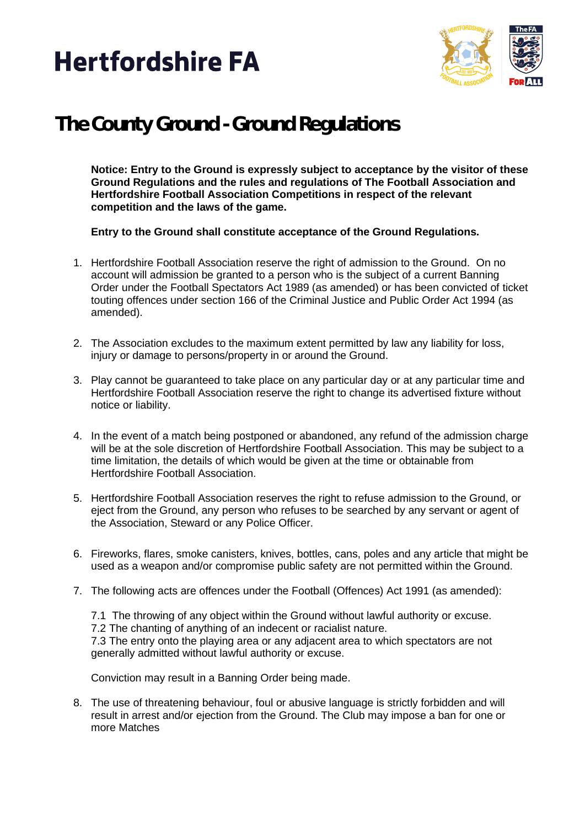



## **The County Ground - Ground Regulations**

**Notice: Entry to the Ground is expressly subject to acceptance by the visitor of these Ground Regulations and the rules and regulations of The Football Association and Hertfordshire Football Association Competitions in respect of the relevant competition and the laws of the game.**

**Entry to the Ground shall constitute acceptance of the Ground Regulations.**

- 1. Hertfordshire Football Association reserve the right of admission to the Ground. On no account will admission be granted to a person who is the subject of a current Banning Order under the Football Spectators Act 1989 (as amended) or has been convicted of ticket touting offences under section 166 of the Criminal Justice and Public Order Act 1994 (as amended).
- 2. The Association excludes to the maximum extent permitted by law any liability for loss, injury or damage to persons/property in or around the Ground.
- 3. Play cannot be guaranteed to take place on any particular day or at any particular time and Hertfordshire Football Association reserve the right to change its advertised fixture without notice or liability.
- 4. In the event of a match being postponed or abandoned, any refund of the admission charge will be at the sole discretion of Hertfordshire Football Association. This may be subject to a time limitation, the details of which would be given at the time or obtainable from Hertfordshire Football Association.
- 5. Hertfordshire Football Association reserves the right to refuse admission to the Ground, or eject from the Ground, any person who refuses to be searched by any servant or agent of the Association, Steward or any Police Officer.
- 6. Fireworks, flares, smoke canisters, knives, bottles, cans, poles and any article that might be used as a weapon and/or compromise public safety are not permitted within the Ground.
- 7. The following acts are offences under the Football (Offences) Act 1991 (as amended):
	- 7.1 The throwing of any object within the Ground without lawful authority or excuse.
	- 7.2 The chanting of anything of an indecent or racialist nature.

7.3 The entry onto the playing area or any adjacent area to which spectators are not generally admitted without lawful authority or excuse.

Conviction may result in a Banning Order being made.

8. The use of threatening behaviour, foul or abusive language is strictly forbidden and will result in arrest and/or ejection from the Ground. The Club may impose a ban for one or more Matches